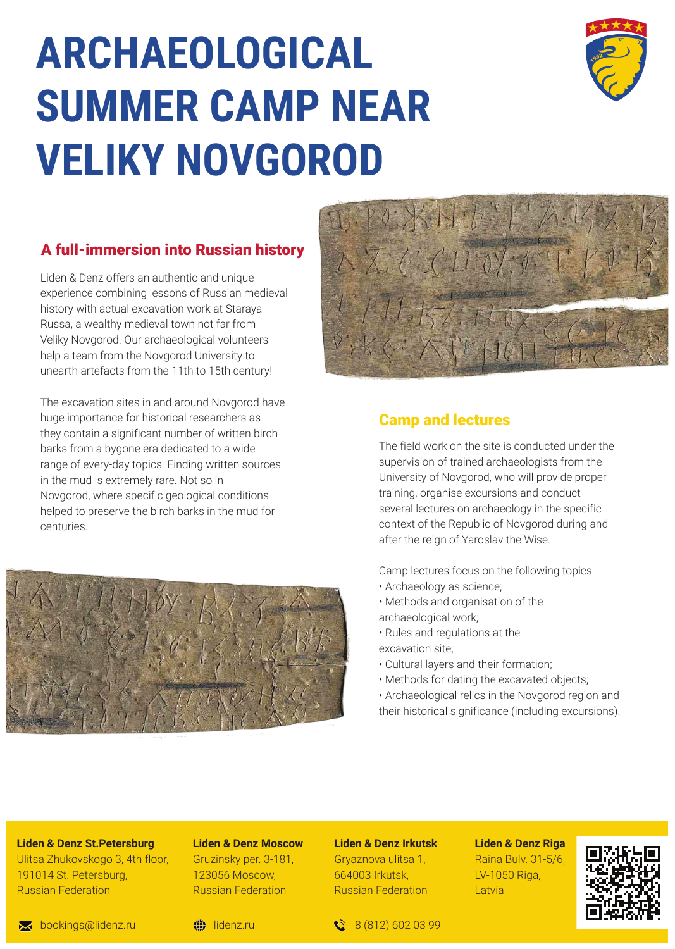# **ARCHAEOLOGICAL SUMMER CAMP NEAR VELIKY NOVGOROD**



### A full-immersion into Russian history

Liden & Denz offers an authentic and unique experience combining lessons of Russian medieval history with actual excavation work at Staraya Russa, a wealthy medieval town not far from Veliky Novgorod. Our archaeological volunteers help a team from the Novgorod University to unearth artefacts from the 11th to 15th century!

The excavation sites in and around Novgorod have huge importance for historical researchers as they contain a significant number of written birch barks from a bygone era dedicated to a wide range of every-day topics. Finding written sources in the mud is extremely rare. Not so in Novgorod, where specific geological conditions helped to preserve the birch barks in the mud for centuries.





#### Camp and lectures

The field work on the site is conducted under the supervision of trained archaeologists from the University of Novgorod, who will provide proper training, organise excursions and conduct several lectures on archaeology in the specific context of the Republic of Novgorod during and after the reign of Yaroslav the Wise.

Camp lectures focus on the following topics:

- Archaeology as science;
- Methods and organisation of the archaeological work;
- Rules and regulations at the
- excavation site;
- Cultural layers and their formation;
- Methods for dating the excavated objects;
- Archaeological relics in the Novgorod region and their historical significance (including excursions).

**Liden & Denz St.Petersburg** Ulitsa Zhukovskogo 3, 4th floor, 191014 St. Petersburg, Russian Federation

# **Liden & Denz Moscow**

Gruzinsky per. 3-181, 123056 Moscow, Russian Federation

## **Liden & Denz Irkutsk**

Gryaznova ulitsa 1, 664003 Irkutsk, Russian Federation **Liden & Denz Riga** Raina Bulv. 31-5/6, LV-1050 Riga, Latvia